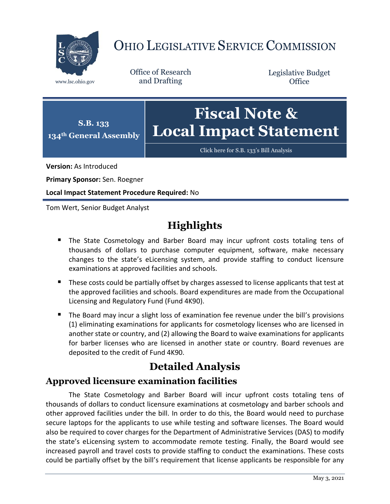

# OHIO LEGISLATIVE SERVICE COMMISSION

Office of Research www.lsc.ohio.gov and Drafting

Legislative Budget **Office** 



[Click here for S.B. 133](https://www.legislature.ohio.gov/legislation/legislation-documents?id=GA134-SB-133)'s Bill Analysis

**Version:** As Introduced

**Primary Sponsor:** Sen. Roegner

**Local Impact Statement Procedure Required:** No

Tom Wert, Senior Budget Analyst

## **Highlights**

- **The State Cosmetology and Barber Board may incur upfront costs totaling tens of** thousands of dollars to purchase computer equipment, software, make necessary changes to the state's eLicensing system, and provide staffing to conduct licensure examinations at approved facilities and schools.
- **These costs could be partially offset by charges assessed to license applicants that test at 4** the approved facilities and schools. Board expenditures are made from the Occupational Licensing and Regulatory Fund (Fund 4K90).
- The Board may incur a slight loss of examination fee revenue under the bill's provisions (1) eliminating examinations for applicants for cosmetology licenses who are licensed in another state or country, and (2) allowing the Board to waive examinations for applicants for barber licenses who are licensed in another state or country. Board revenues are deposited to the credit of Fund 4K90.

### **Detailed Analysis**

#### **Approved licensure examination facilities**

The State Cosmetology and Barber Board will incur upfront costs totaling tens of thousands of dollars to conduct licensure examinations at cosmetology and barber schools and other approved facilities under the bill. In order to do this, the Board would need to purchase secure laptops for the applicants to use while testing and software licenses. The Board would also be required to cover charges for the Department of Administrative Services (DAS) to modify the state's eLicensing system to accommodate remote testing. Finally, the Board would see increased payroll and travel costs to provide staffing to conduct the examinations. These costs could be partially offset by the bill's requirement that license applicants be responsible for any